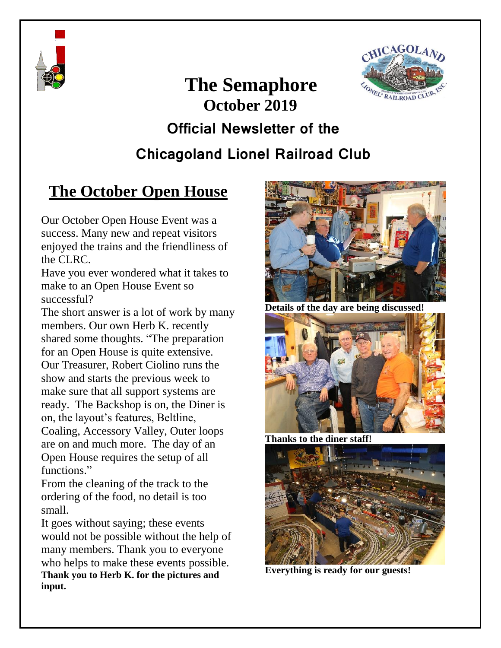



# **The Semaphore October 2019 Official Newsletter of the Chicagoland Lionel Railroad Club**

## **The October Open House**

Our October Open House Event was a success. Many new and repeat visitors enjoyed the trains and the friendliness of the CLRC.

Have you ever wondered what it takes to make to an Open House Event so successful?

The short answer is a lot of work by many members. Our own Herb K. recently shared some thoughts. "The preparation for an Open House is quite extensive. Our Treasurer, Robert Ciolino runs the show and starts the previous week to make sure that all support systems are ready. The Backshop is on, the Diner is on, the layout's features, Beltline, Coaling, Accessory Valley, Outer loops are on and much more. The day of an Open House requires the setup of all functions."

From the cleaning of the track to the ordering of the food, no detail is too small.

It goes without saying; these events would not be possible without the help of many members. Thank you to everyone who helps to make these events possible. **Thank you to Herb K. for the pictures and input.**



**Details of the day are being discussed!**



**Thanks to the diner staff!**



**Everything is ready for our guests!**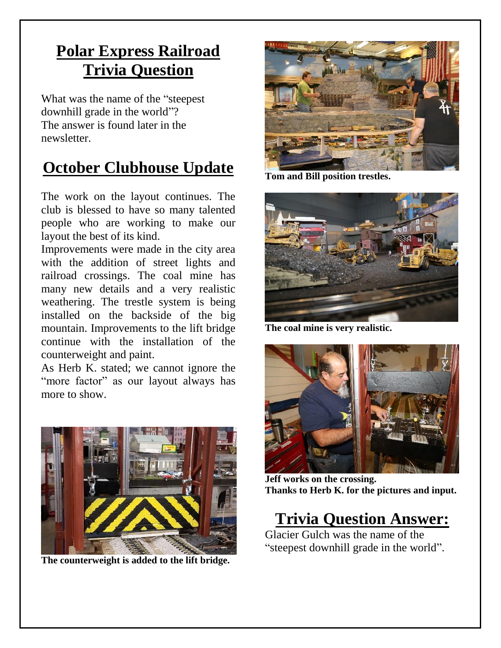## **Polar Express Railroad Trivia Question**

What was the name of the "steepest downhill grade in the world"? The answer is found later in the newsletter.

## **October Clubhouse Update**

The work on the layout continues. The club is blessed to have so many talented people who are working to make our layout the best of its kind.

Improvements were made in the city area with the addition of street lights and railroad crossings. The coal mine has many new details and a very realistic weathering. The trestle system is being installed on the backside of the big mountain. Improvements to the lift bridge continue with the installation of the counterweight and paint.

As Herb K. stated; we cannot ignore the "more factor" as our layout always has more to show.



**The counterweight is added to the lift bridge.**



**Tom and Bill position trestles.**



**The coal mine is very realistic.**



**Jeff works on the crossing. Thanks to Herb K. for the pictures and input.**

### **Trivia Question Answer:**

Glacier Gulch was the name of the "steepest downhill grade in the world".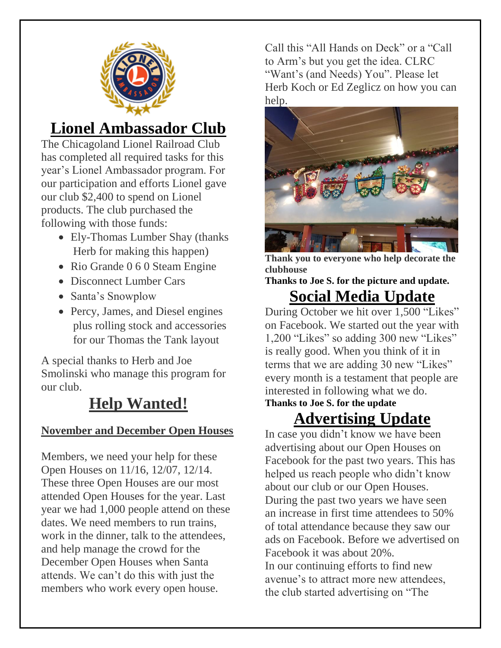

## **Lionel Ambassador Club**

The Chicagoland Lionel Railroad Club has completed all required tasks for this year's Lionel Ambassador program. For our participation and efforts Lionel gave our club \$2,400 to spend on Lionel products. The club purchased the following with those funds:

- Ely-Thomas Lumber Shay (thanks Herb for making this happen)
- Rio Grande 0 6 0 Steam Engine
- Disconnect Lumber Cars
- Santa's Snowplow
- Percy, James, and Diesel engines plus rolling stock and accessories for our Thomas the Tank layout

A special thanks to Herb and Joe Smolinski who manage this program for our club.

# **Help Wanted!**

#### **November and December Open Houses**

Members, we need your help for these Open Houses on 11/16, 12/07, 12/14. These three Open Houses are our most attended Open Houses for the year. Last year we had 1,000 people attend on these dates. We need members to run trains, work in the dinner, talk to the attendees, and help manage the crowd for the December Open Houses when Santa attends. We can't do this with just the members who work every open house.

Call this "All Hands on Deck" or a "Call to Arm's but you get the idea. CLRC "Want's (and Needs) You". Please let Herb Koch or Ed Zeglicz on how you can help.



**Thank you to everyone who help decorate the clubhouse**

**Thanks to Joe S. for the picture and update. Social Media Update**

During October we hit over 1,500 "Likes" on Facebook. We started out the year with 1,200 "Likes" so adding 300 new "Likes" is really good. When you think of it in terms that we are adding 30 new "Likes" every month is a testament that people are interested in following what we do. **Thanks to Joe S. for the update**

# **Advertising Update**

In case you didn't know we have been advertising about our Open Houses on Facebook for the past two years. This has helped us reach people who didn't know about our club or our Open Houses. During the past two years we have seen an increase in first time attendees to 50% of total attendance because they saw our ads on Facebook. Before we advertised on Facebook it was about 20%. In our continuing efforts to find new avenue's to attract more new attendees, the club started advertising on "The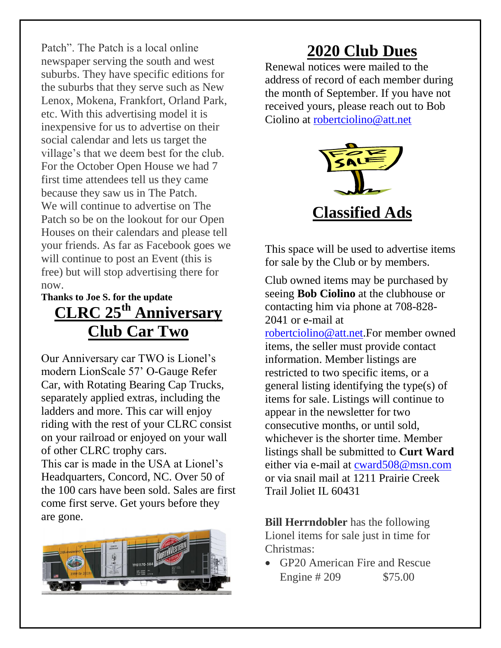Patch". The Patch is a local online newspaper serving the south and west suburbs. They have specific editions for the suburbs that they serve such as New Lenox, Mokena, Frankfort, Orland Park, etc. With this advertising model it is inexpensive for us to advertise on their social calendar and lets us target the village's that we deem best for the club. For the October Open House we had 7 first time attendees tell us they came because they saw us in The Patch. We will continue to advertise on The Patch so be on the lookout for our Open Houses on their calendars and please tell your friends. As far as Facebook goes we will continue to post an Event (this is free) but will stop advertising there for now.

#### **Thanks to Joe S. for the update CLRC 25th Anniversary Club Car Two**

Our Anniversary car TWO is Lionel's modern LionScale 57' O-Gauge Refer Car, with Rotating Bearing Cap Trucks, separately applied extras, including the ladders and more. This car will enjoy riding with the rest of your CLRC consist on your railroad or enjoyed on your wall of other CLRC trophy cars.

This car is made in the USA at Lionel's Headquarters, Concord, NC. Over 50 of the 100 cars have been sold. Sales are first come first serve. Get yours before they are gone.



### **2020 Club Dues**

Renewal notices were mailed to the address of record of each member during the month of September. If you have not received yours, please reach out to Bob Ciolino at [robertciolino@att.net](mailto:robertciolino@att.net)



This space will be used to advertise items for sale by the Club or by members.

Club owned items may be purchased by seeing **Bob Ciolino** at the clubhouse or contacting him via phone at 708-828- 2041 or e-mail at

[robertciolino@att.net.](mailto:robertciolino@att.net)For member owned items, the seller must provide contact information. Member listings are restricted to two specific items, or a general listing identifying the type(s) of items for sale. Listings will continue to appear in the newsletter for two consecutive months, or until sold, whichever is the shorter time. Member listings shall be submitted to **Curt Ward** either via e-mail at [cward508@msn.com](mailto:cward508@msn.com) or via snail mail at 1211 Prairie Creek Trail Joliet IL 60431

**Bill Herrndobler** has the following Lionel items for sale just in time for Christmas:

 GP20 American Fire and Rescue Engine # 209 \$75.00